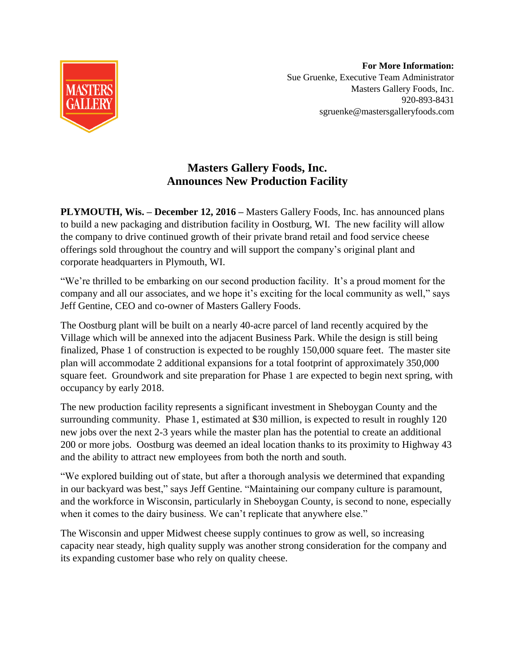

**For More Information:** Sue Gruenke, Executive Team Administrator Masters Gallery Foods, Inc. 920-893-8431 sgruenke@mastersgalleryfoods.com

## **Masters Gallery Foods, Inc. Announces New Production Facility**

**PLYMOUTH, Wis. – December 12, 2016 –** Masters Gallery Foods, Inc. has announced plans to build a new packaging and distribution facility in Oostburg, WI. The new facility will allow the company to drive continued growth of their private brand retail and food service cheese offerings sold throughout the country and will support the company's original plant and corporate headquarters in Plymouth, WI.

"We're thrilled to be embarking on our second production facility. It's a proud moment for the company and all our associates, and we hope it's exciting for the local community as well," says Jeff Gentine, CEO and co-owner of Masters Gallery Foods.

The Oostburg plant will be built on a nearly 40-acre parcel of land recently acquired by the Village which will be annexed into the adjacent Business Park. While the design is still being finalized, Phase 1 of construction is expected to be roughly 150,000 square feet. The master site plan will accommodate 2 additional expansions for a total footprint of approximately 350,000 square feet. Groundwork and site preparation for Phase 1 are expected to begin next spring, with occupancy by early 2018.

The new production facility represents a significant investment in Sheboygan County and the surrounding community. Phase 1, estimated at \$30 million, is expected to result in roughly 120 new jobs over the next 2-3 years while the master plan has the potential to create an additional 200 or more jobs. Oostburg was deemed an ideal location thanks to its proximity to Highway 43 and the ability to attract new employees from both the north and south.

"We explored building out of state, but after a thorough analysis we determined that expanding in our backyard was best," says Jeff Gentine. "Maintaining our company culture is paramount, and the workforce in Wisconsin, particularly in Sheboygan County, is second to none, especially when it comes to the dairy business. We can't replicate that anywhere else."

The Wisconsin and upper Midwest cheese supply continues to grow as well, so increasing capacity near steady, high quality supply was another strong consideration for the company and its expanding customer base who rely on quality cheese.